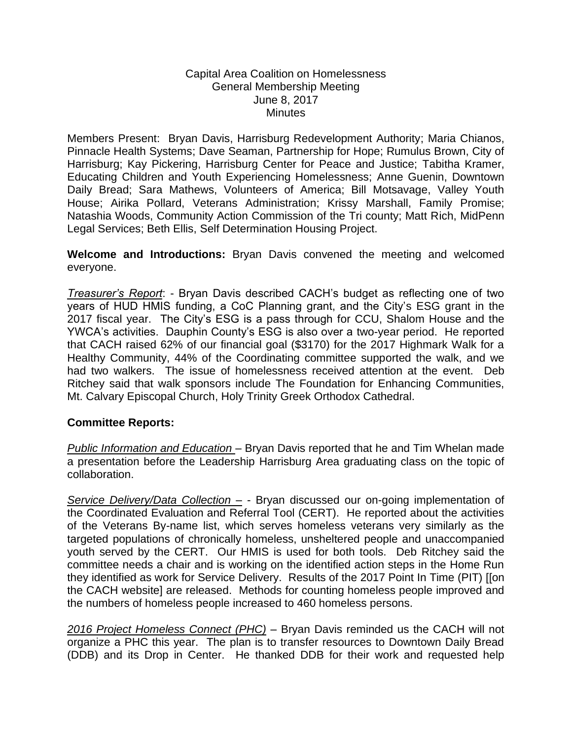## Capital Area Coalition on Homelessness General Membership Meeting June 8, 2017 **Minutes**

Members Present: Bryan Davis, Harrisburg Redevelopment Authority; Maria Chianos, Pinnacle Health Systems; Dave Seaman, Partnership for Hope; Rumulus Brown, City of Harrisburg; Kay Pickering, Harrisburg Center for Peace and Justice; Tabitha Kramer, Educating Children and Youth Experiencing Homelessness; Anne Guenin, Downtown Daily Bread; Sara Mathews, Volunteers of America; Bill Motsavage, Valley Youth House; Airika Pollard, Veterans Administration; Krissy Marshall, Family Promise; Natashia Woods, Community Action Commission of the Tri county; Matt Rich, MidPenn Legal Services; Beth Ellis, Self Determination Housing Project.

**Welcome and Introductions:** Bryan Davis convened the meeting and welcomed everyone.

*Treasurer's Report*: - Bryan Davis described CACH's budget as reflecting one of two years of HUD HMIS funding, a CoC Planning grant, and the City's ESG grant in the 2017 fiscal year. The City's ESG is a pass through for CCU, Shalom House and the YWCA's activities. Dauphin County's ESG is also over a two-year period. He reported that CACH raised 62% of our financial goal (\$3170) for the 2017 Highmark Walk for a Healthy Community, 44% of the Coordinating committee supported the walk, and we had two walkers. The issue of homelessness received attention at the event. Deb Ritchey said that walk sponsors include The Foundation for Enhancing Communities, Mt. Calvary Episcopal Church, Holy Trinity Greek Orthodox Cathedral.

## **Committee Reports:**

*Public Information and Education* – Bryan Davis reported that he and Tim Whelan made a presentation before the Leadership Harrisburg Area graduating class on the topic of collaboration.

*Service Delivery/Data Collection –* - Bryan discussed our on-going implementation of the Coordinated Evaluation and Referral Tool (CERT). He reported about the activities of the Veterans By-name list, which serves homeless veterans very similarly as the targeted populations of chronically homeless, unsheltered people and unaccompanied youth served by the CERT. Our HMIS is used for both tools. Deb Ritchey said the committee needs a chair and is working on the identified action steps in the Home Run they identified as work for Service Delivery. Results of the 2017 Point In Time (PIT) [[on the CACH website] are released. Methods for counting homeless people improved and the numbers of homeless people increased to 460 homeless persons.

*2016 Project Homeless Connect (PHC)* – Bryan Davis reminded us the CACH will not organize a PHC this year. The plan is to transfer resources to Downtown Daily Bread (DDB) and its Drop in Center. He thanked DDB for their work and requested help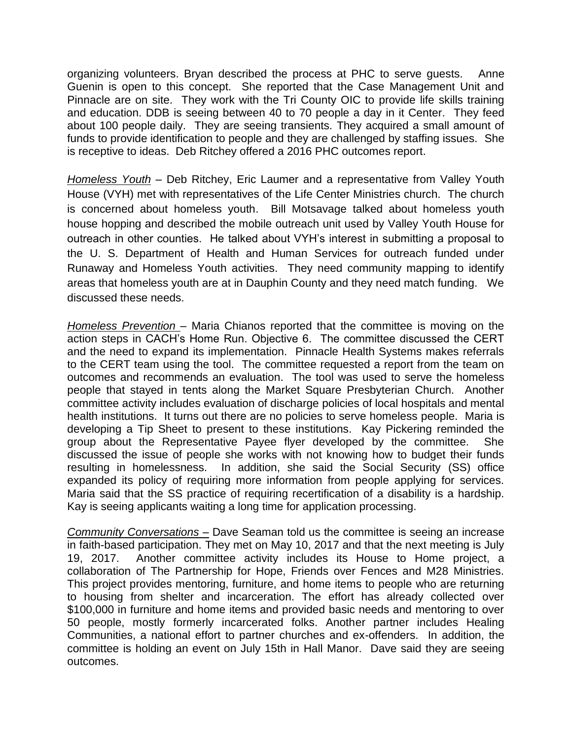organizing volunteers. Bryan described the process at PHC to serve guests. Anne Guenin is open to this concept. She reported that the Case Management Unit and Pinnacle are on site. They work with the Tri County OIC to provide life skills training and education. DDB is seeing between 40 to 70 people a day in it Center. They feed about 100 people daily. They are seeing transients. They acquired a small amount of funds to provide identification to people and they are challenged by staffing issues. She is receptive to ideas. Deb Ritchey offered a 2016 PHC outcomes report.

*Homeless Youth* – Deb Ritchey, Eric Laumer and a representative from Valley Youth House (VYH) met with representatives of the Life Center Ministries church. The church is concerned about homeless youth. Bill Motsavage talked about homeless youth house hopping and described the mobile outreach unit used by Valley Youth House for outreach in other counties. He talked about VYH's interest in submitting a proposal to the U. S. Department of Health and Human Services for outreach funded under Runaway and Homeless Youth activities. They need community mapping to identify areas that homeless youth are at in Dauphin County and they need match funding. We discussed these needs.

*Homeless Prevention –* Maria Chianos reported that the committee is moving on the action steps in CACH's Home Run. Objective 6. The committee discussed the CERT and the need to expand its implementation. Pinnacle Health Systems makes referrals to the CERT team using the tool. The committee requested a report from the team on outcomes and recommends an evaluation. The tool was used to serve the homeless people that stayed in tents along the Market Square Presbyterian Church. Another committee activity includes evaluation of discharge policies of local hospitals and mental health institutions. It turns out there are no policies to serve homeless people. Maria is developing a Tip Sheet to present to these institutions. Kay Pickering reminded the group about the Representative Payee flyer developed by the committee. She discussed the issue of people she works with not knowing how to budget their funds resulting in homelessness. In addition, she said the Social Security (SS) office expanded its policy of requiring more information from people applying for services. Maria said that the SS practice of requiring recertification of a disability is a hardship. Kay is seeing applicants waiting a long time for application processing.

*Community Conversations –* Dave Seaman told us the committee is seeing an increase in faith-based participation. They met on May 10, 2017 and that the next meeting is July 19, 2017. Another committee activity includes its House to Home project, a collaboration of The Partnership for Hope, Friends over Fences and M28 Ministries. This project provides mentoring, furniture, and home items to people who are returning to housing from shelter and incarceration. The effort has already collected over \$100,000 in furniture and home items and provided basic needs and mentoring to over 50 people, mostly formerly incarcerated folks. Another partner includes Healing Communities, a national effort to partner churches and ex-offenders. In addition, the committee is holding an event on July 15th in Hall Manor. Dave said they are seeing outcomes.